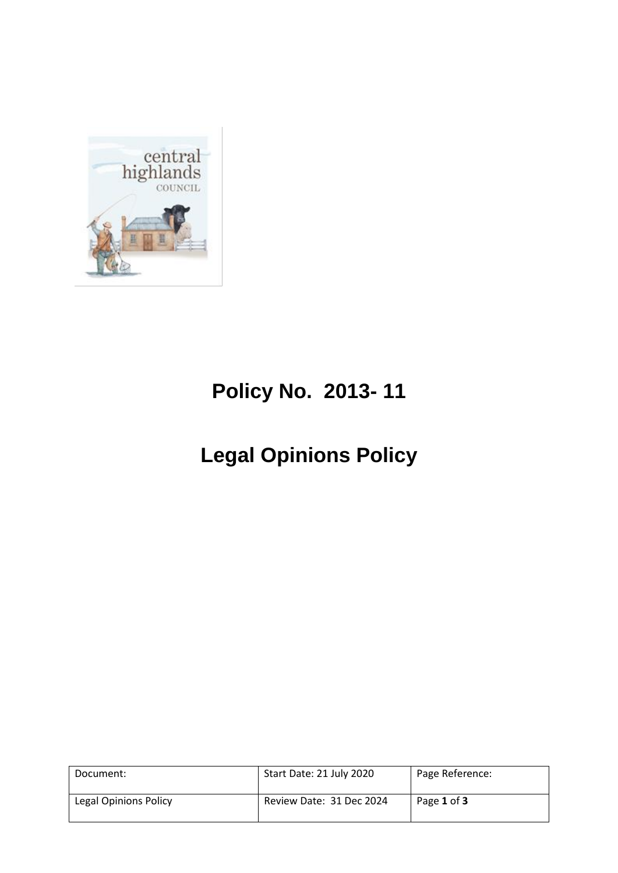

## **Policy No. 2013- 11**

## **Legal Opinions Policy**

| Document:             | Start Date: 21 July 2020 | Page Reference: |
|-----------------------|--------------------------|-----------------|
| Legal Opinions Policy | Review Date: 31 Dec 2024 | Page 1 of 3     |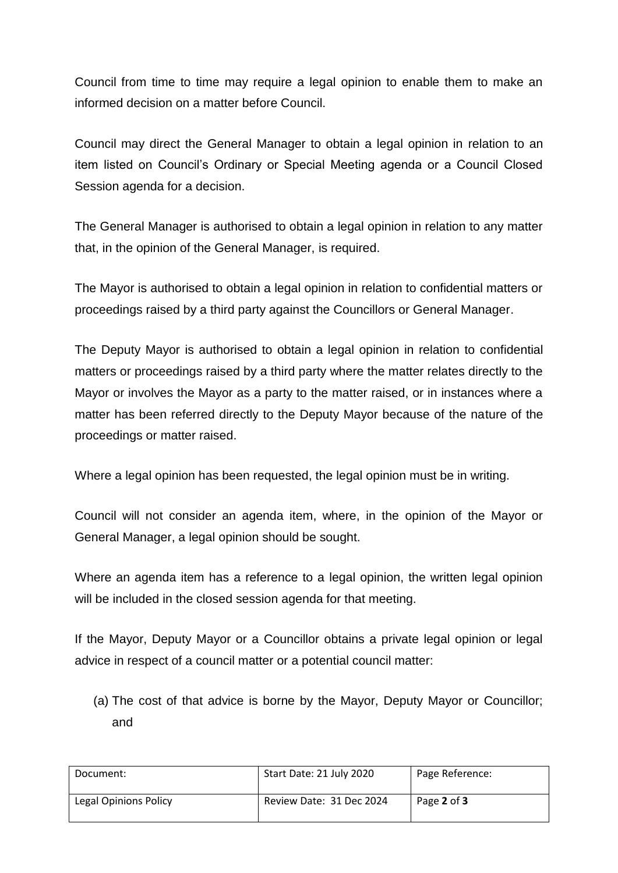Council from time to time may require a legal opinion to enable them to make an informed decision on a matter before Council.

Council may direct the General Manager to obtain a legal opinion in relation to an item listed on Council's Ordinary or Special Meeting agenda or a Council Closed Session agenda for a decision.

The General Manager is authorised to obtain a legal opinion in relation to any matter that, in the opinion of the General Manager, is required.

The Mayor is authorised to obtain a legal opinion in relation to confidential matters or proceedings raised by a third party against the Councillors or General Manager.

The Deputy Mayor is authorised to obtain a legal opinion in relation to confidential matters or proceedings raised by a third party where the matter relates directly to the Mayor or involves the Mayor as a party to the matter raised, or in instances where a matter has been referred directly to the Deputy Mayor because of the nature of the proceedings or matter raised.

Where a legal opinion has been requested, the legal opinion must be in writing.

Council will not consider an agenda item, where, in the opinion of the Mayor or General Manager, a legal opinion should be sought.

Where an agenda item has a reference to a legal opinion, the written legal opinion will be included in the closed session agenda for that meeting.

If the Mayor, Deputy Mayor or a Councillor obtains a private legal opinion or legal advice in respect of a council matter or a potential council matter:

(a) The cost of that advice is borne by the Mayor, Deputy Mayor or Councillor; and

| Document:             | Start Date: 21 July 2020 | Page Reference: |
|-----------------------|--------------------------|-----------------|
| Legal Opinions Policy | Review Date: 31 Dec 2024 | Page 2 of 3     |